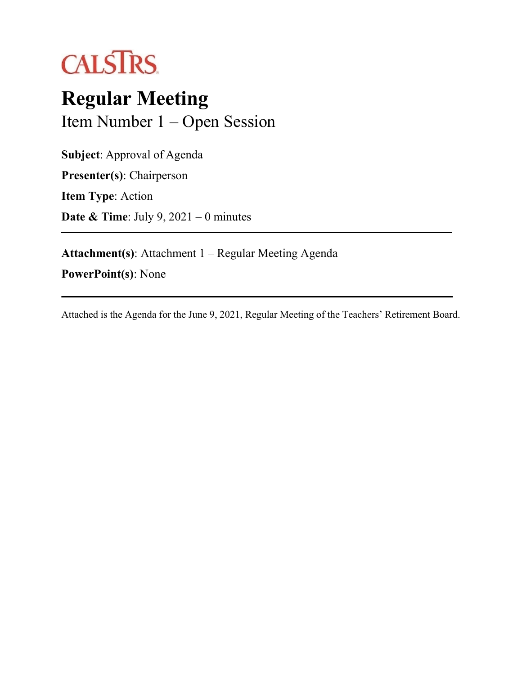

# **Regular Meeting** Item Number 1 – Open Session

**Subject**: Approval of Agenda

**Presenter(s)**: Chairperson

**Item Type**: Action

**Date & Time**: July 9, 2021 – 0 minutes

**Attachment(s)**: Attachment 1 – Regular Meeting Agenda

**PowerPoint(s)**: None

Attached is the Agenda for the June 9, 2021, Regular Meeting of the Teachers' Retirement Board.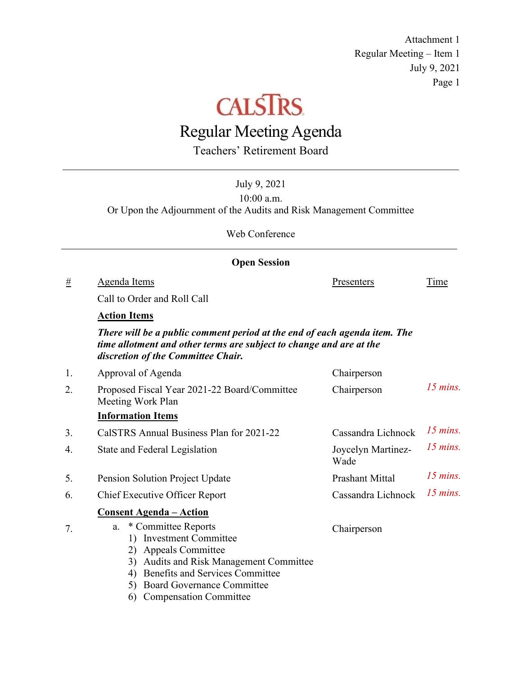Attachment 1 Regular Meeting – Item 1 July 9, 2021 Page 1



# Regular Meeting Agenda

Teachers' Retirement Board

|                     | July 9, 2021<br>10:00 a.m.<br>Or Upon the Adjournment of the Audits and Risk Management Committee                                                                                              |                            |            |  |  |  |  |
|---------------------|------------------------------------------------------------------------------------------------------------------------------------------------------------------------------------------------|----------------------------|------------|--|--|--|--|
|                     |                                                                                                                                                                                                |                            |            |  |  |  |  |
|                     | Web Conference                                                                                                                                                                                 |                            |            |  |  |  |  |
| <b>Open Session</b> |                                                                                                                                                                                                |                            |            |  |  |  |  |
| #                   | Agenda Items                                                                                                                                                                                   | Presenters                 | Time       |  |  |  |  |
|                     | Call to Order and Roll Call                                                                                                                                                                    |                            |            |  |  |  |  |
|                     | <b>Action Items</b>                                                                                                                                                                            |                            |            |  |  |  |  |
|                     | There will be a public comment period at the end of each agenda item. The<br>time allotment and other terms are subject to change and are at the<br>discretion of the Committee Chair.         |                            |            |  |  |  |  |
| 1.                  | Approval of Agenda                                                                                                                                                                             | Chairperson                |            |  |  |  |  |
| 2.                  | Proposed Fiscal Year 2021-22 Board/Committee<br>Meeting Work Plan                                                                                                                              | Chairperson                | $15$ mins. |  |  |  |  |
|                     | <b>Information Items</b>                                                                                                                                                                       |                            |            |  |  |  |  |
| 3.                  | CalSTRS Annual Business Plan for 2021-22                                                                                                                                                       | Cassandra Lichnock         | $15$ mins. |  |  |  |  |
| 4.                  | State and Federal Legislation                                                                                                                                                                  | Joycelyn Martinez-<br>Wade | $15$ mins. |  |  |  |  |
| 5.                  | Pension Solution Project Update                                                                                                                                                                | <b>Prashant Mittal</b>     | $15$ mins. |  |  |  |  |
| 6.                  | <b>Chief Executive Officer Report</b>                                                                                                                                                          | Cassandra Lichnock         | $15$ mins. |  |  |  |  |
|                     | <b>Consent Agenda – Action</b>                                                                                                                                                                 |                            |            |  |  |  |  |
| 7.                  | * Committee Reports<br>a.<br>1) Investment Committee<br>2) Appeals Committee<br>3) Audits and Risk Management Committee<br>4) Benefits and Services Committee<br>5) Board Governance Committee | Chairperson                |            |  |  |  |  |

6) Compensation Committee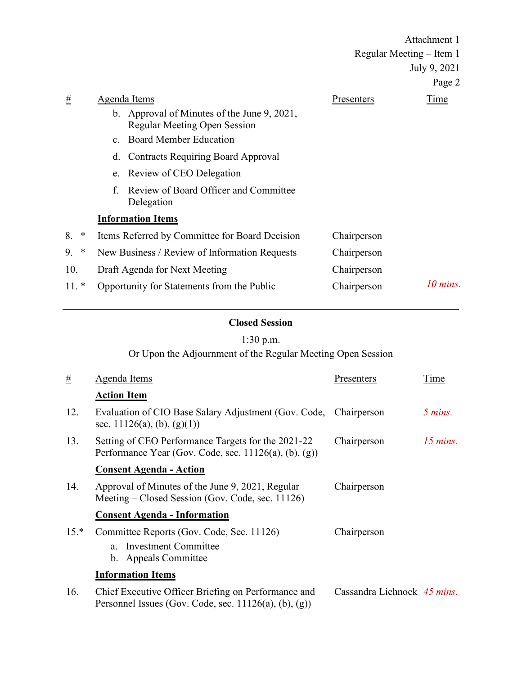|              |                                                |                                                                             | Attachment 1             |            |  |
|--------------|------------------------------------------------|-----------------------------------------------------------------------------|--------------------------|------------|--|
|              |                                                |                                                                             | Regular Meeting – Item 1 |            |  |
|              |                                                |                                                                             | July 9, 2021             |            |  |
|              |                                                |                                                                             |                          | Page 2     |  |
| #            |                                                | <b>Agenda</b> Items                                                         | <u>Presenters</u>        | Time       |  |
|              |                                                | b. Approval of Minutes of the June 9, 2021,<br>Regular Meeting Open Session |                          |            |  |
|              |                                                | c. Board Member Education                                                   |                          |            |  |
|              | d.                                             | <b>Contracts Requiring Board Approval</b>                                   |                          |            |  |
|              |                                                | e. Review of CEO Delegation                                                 |                          |            |  |
|              | f.                                             | Review of Board Officer and Committee<br>Delegation                         |                          |            |  |
|              |                                                | <b>Information Items</b>                                                    |                          |            |  |
| 8.<br>∗      | Items Referred by Committee for Board Decision |                                                                             | Chairperson              |            |  |
| 9.<br>$\ast$ | New Business / Review of Information Requests  |                                                                             | Chairperson              |            |  |
| 10.          | Draft Agenda for Next Meeting                  |                                                                             | Chairperson              |            |  |
| $11.*$       |                                                | Opportunity for Statements from the Public                                  | Chairperson              | $10$ mins. |  |

#### **Closed Session**

## 1:30 p.m.

Or Upon the Adjournment of the Regular Meeting Open Session

| $\pm$  | Agenda Items                                                                                                    | Presenters                  | Time                 |
|--------|-----------------------------------------------------------------------------------------------------------------|-----------------------------|----------------------|
|        | <b>Action Item</b>                                                                                              |                             |                      |
| 12.    | Evaluation of CIO Base Salary Adjustment (Gov. Code, Chairperson<br>sec. 11126(a), (b), (g)(1))                 |                             | $5 \, mins.$         |
| 13.    | Setting of CEO Performance Targets for the 2021-22<br>Performance Year (Gov. Code, sec. 11126(a), (b), (g))     | Chairperson                 | $15 \, \text{mins.}$ |
|        | <b>Consent Agenda - Action</b>                                                                                  |                             |                      |
| 14.    | Approval of Minutes of the June 9, 2021, Regular<br>Meeting – Closed Session (Gov. Code, sec. 11126)            | Chairperson                 |                      |
|        | <b>Consent Agenda - Information</b>                                                                             |                             |                      |
| $15.*$ | Committee Reports (Gov. Code, Sec. 11126)<br><b>Investment Committee</b><br>$a_{-}$<br>b. Appeals Committee     | Chairperson                 |                      |
|        | <b>Information Items</b>                                                                                        |                             |                      |
| 16.    | Chief Executive Officer Briefing on Performance and<br>Personnel Issues (Gov. Code, sec. $11126(a)$ , (b), (g)) | Cassandra Lichnock 45 mins. |                      |